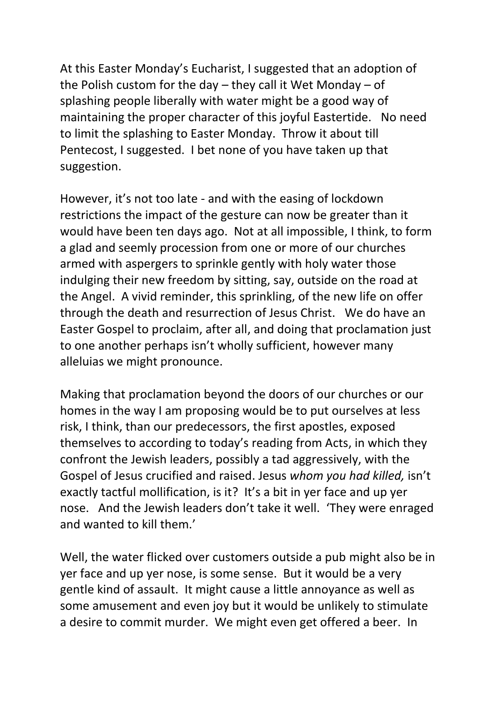At this Easter Monday's Eucharist, I suggested that an adoption of the Polish custom for the day – they call it Wet Monday – of splashing people liberally with water might be a good way of maintaining the proper character of this joyful Eastertide. No need to limit the splashing to Easter Monday. Throw it about till Pentecost, I suggested. I bet none of you have taken up that suggestion.

However, it's not too late - and with the easing of lockdown restrictions the impact of the gesture can now be greater than it would have been ten days ago. Not at all impossible, I think, to form a glad and seemly procession from one or more of our churches armed with aspergers to sprinkle gently with holy water those indulging their new freedom by sitting, say, outside on the road at the Angel. A vivid reminder, this sprinkling, of the new life on offer through the death and resurrection of Jesus Christ. We do have an Easter Gospel to proclaim, after all, and doing that proclamation just to one another perhaps isn't wholly sufficient, however many alleluias we might pronounce.

Making that proclamation beyond the doors of our churches or our homes in the way I am proposing would be to put ourselves at less risk, I think, than our predecessors, the first apostles, exposed themselves to according to today's reading from Acts, in which they confront the Jewish leaders, possibly a tad aggressively, with the Gospel of Jesus crucified and raised. Jesus *whom you had killed,* isn't exactly tactful mollification, is it? It's a bit in yer face and up yer nose. And the Jewish leaders don't take it well. 'They were enraged and wanted to kill them.'

Well, the water flicked over customers outside a pub might also be in yer face and up yer nose, is some sense. But it would be a very gentle kind of assault. It might cause a little annoyance as well as some amusement and even joy but it would be unlikely to stimulate a desire to commit murder. We might even get offered a beer. In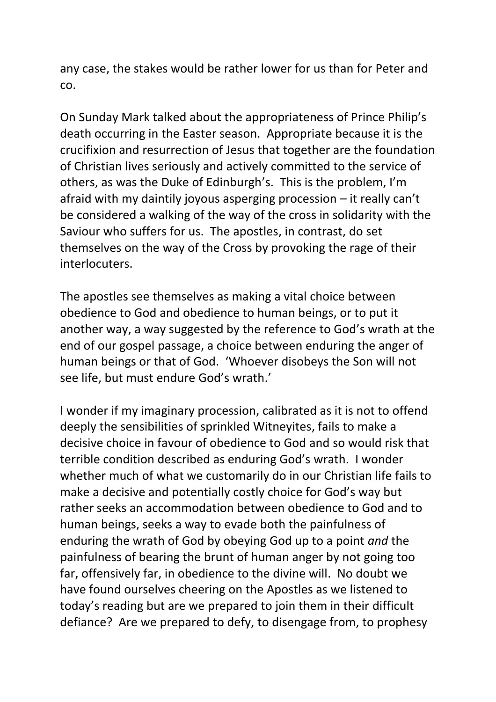any case, the stakes would be rather lower for us than for Peter and co.

On Sunday Mark talked about the appropriateness of Prince Philip's death occurring in the Easter season. Appropriate because it is the crucifixion and resurrection of Jesus that together are the foundation of Christian lives seriously and actively committed to the service of others, as was the Duke of Edinburgh's. This is the problem, I'm afraid with my daintily joyous asperging procession – it really can't be considered a walking of the way of the cross in solidarity with the Saviour who suffers for us. The apostles, in contrast, do set themselves on the way of the Cross by provoking the rage of their interlocuters.

The apostles see themselves as making a vital choice between obedience to God and obedience to human beings, or to put it another way, a way suggested by the reference to God's wrath at the end of our gospel passage, a choice between enduring the anger of human beings or that of God. 'Whoever disobeys the Son will not see life, but must endure God's wrath.'

I wonder if my imaginary procession, calibrated as it is not to offend deeply the sensibilities of sprinkled Witneyites, fails to make a decisive choice in favour of obedience to God and so would risk that terrible condition described as enduring God's wrath. I wonder whether much of what we customarily do in our Christian life fails to make a decisive and potentially costly choice for God's way but rather seeks an accommodation between obedience to God and to human beings, seeks a way to evade both the painfulness of enduring the wrath of God by obeying God up to a point *and* the painfulness of bearing the brunt of human anger by not going too far, offensively far, in obedience to the divine will. No doubt we have found ourselves cheering on the Apostles as we listened to today's reading but are we prepared to join them in their difficult defiance? Are we prepared to defy, to disengage from, to prophesy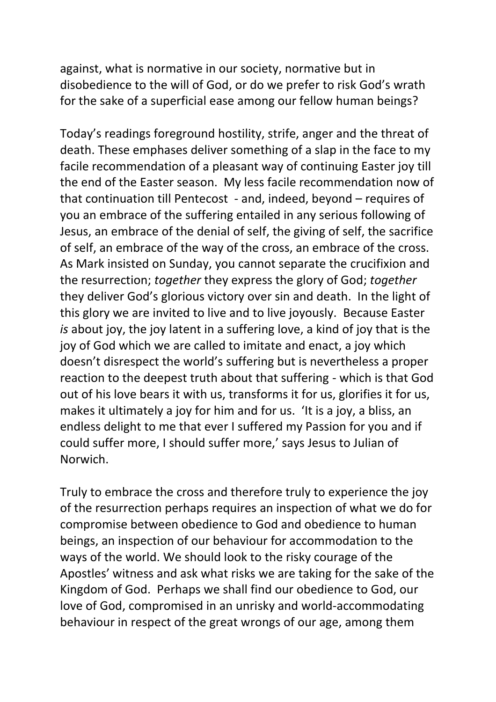against, what is normative in our society, normative but in disobedience to the will of God, or do we prefer to risk God's wrath for the sake of a superficial ease among our fellow human beings?

Today's readings foreground hostility, strife, anger and the threat of death. These emphases deliver something of a slap in the face to my facile recommendation of a pleasant way of continuing Easter joy till the end of the Easter season. My less facile recommendation now of that continuation till Pentecost - and, indeed, beyond – requires of you an embrace of the suffering entailed in any serious following of Jesus, an embrace of the denial of self, the giving of self, the sacrifice of self, an embrace of the way of the cross, an embrace of the cross. As Mark insisted on Sunday, you cannot separate the crucifixion and the resurrection; *together* they express the glory of God; *together*  they deliver God's glorious victory over sin and death. In the light of this glory we are invited to live and to live joyously. Because Easter *is* about joy, the joy latent in a suffering love, a kind of joy that is the joy of God which we are called to imitate and enact, a joy which doesn't disrespect the world's suffering but is nevertheless a proper reaction to the deepest truth about that suffering - which is that God out of his love bears it with us, transforms it for us, glorifies it for us, makes it ultimately a joy for him and for us. 'It is a joy, a bliss, an endless delight to me that ever I suffered my Passion for you and if could suffer more, I should suffer more,' says Jesus to Julian of Norwich.

Truly to embrace the cross and therefore truly to experience the joy of the resurrection perhaps requires an inspection of what we do for compromise between obedience to God and obedience to human beings, an inspection of our behaviour for accommodation to the ways of the world. We should look to the risky courage of the Apostles' witness and ask what risks we are taking for the sake of the Kingdom of God. Perhaps we shall find our obedience to God, our love of God, compromised in an unrisky and world-accommodating behaviour in respect of the great wrongs of our age, among them